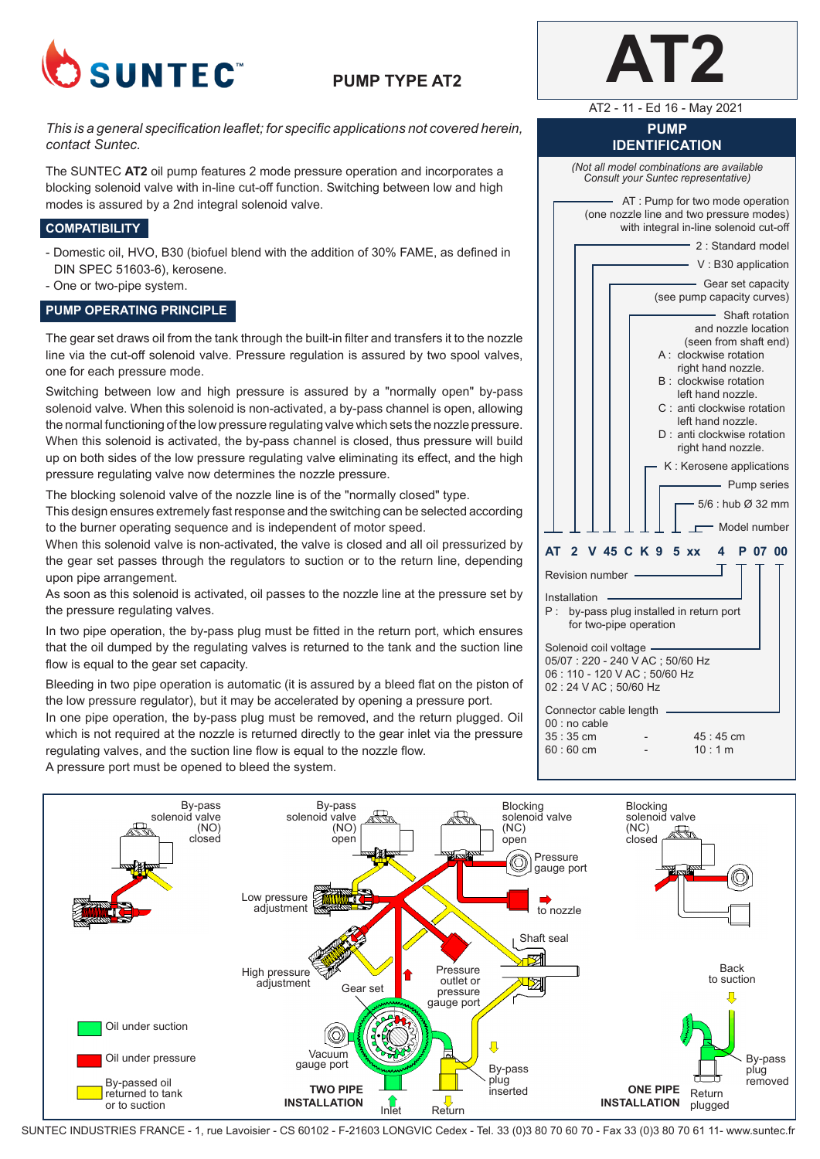

## **PUMP TYPE AT2**

*This is a general specification leaflet; for specific applications not covered herein, contact Suntec.*

The SUNTEC **AT2** oil pump features 2 mode pressure operation and incorporates a blocking solenoid valve with in-line cut-off function. Switching between low and high modes is assured by a 2nd integral solenoid valve.

### **COMPATIBILITY**

- Domestic oil, HVO, B30 (biofuel blend with the addition of 30% FAME, as defined in DIN SPEC 51603-6), kerosene.
- One or two-pipe system.

#### **PUMP OPERATING PRINCIPLE**

The gear set draws oil from the tank through the built-in filter and transfers it to the nozzle line via the cut-off solenoid valve. Pressure regulation is assured by two spool valves, one for each pressure mode.

Switching between low and high pressure is assured by a "normally open" by-pass solenoid valve. When this solenoid is non-activated, a by-pass channel is open, allowing the normal functioning of the low pressure regulating valve which sets the nozzle pressure. When this solenoid is activated, the by-pass channel is closed, thus pressure will build up on both sides of the low pressure regulating valve eliminating its effect, and the high pressure regulating valve now determines the nozzle pressure.

The blocking solenoid valve of the nozzle line is of the "normally closed" type.

This design ensures extremely fast response and the switching can be selected according to the burner operating sequence and is independent of motor speed.

When this solenoid valve is non-activated, the valve is closed and all oil pressurized by the gear set passes through the regulators to suction or to the return line, depending upon pipe arrangement.

As soon as this solenoid is activated, oil passes to the nozzle line at the pressure set by the pressure regulating valves.

In two pipe operation, the by-pass plug must be fitted in the return port, which ensures that the oil dumped by the regulating valves is returned to the tank and the suction line flow is equal to the gear set capacity.

Bleeding in two pipe operation is automatic (it is assured by a bleed flat on the piston of the low pressure regulator), but it may be accelerated by opening a pressure port.

In one pipe operation, the by-pass plug must be removed, and the return plugged. Oil which is not required at the nozzle is returned directly to the gear inlet via the pressure regulating valves, and the suction line flow is equal to the nozzle flow. A pressure port must be opened to bleed the system.



AT2 - 11 - Ed 16 - May 2021

# **PUMP**

**IDENTIFICATION** *(Not all model combinations are available Consult your Suntec representative)* AT : Pump for two mode operation (one nozzle line and two pressure modes) with integral in-line solenoid cut-off 2 : Standard model V : B30 application Gear set capacity (see pump capacity curves) Shaft rotation and nozzle location (seen from shaft end) A : clockwise rotation right hand nozzle. B : clockwise rotation left hand nozzle. C : anti clockwise rotation left hand nozzle. D : anti clockwise rotation right hand nozzle. K : Kerosene applications - Pump series 5/6 : hub Ø 32 mm Model number **AT 2 V 45 C K 9 5 xx 4 P 07 00** Revision number Installation P : by-pass plug installed in return port for two-pipe operation Solenoid coil voltage 05/07 : 220 - 240 V AC ; 50/60 Hz 06 : 110 - 120 V AC ; 50/60 Hz 02 : 24 V AC ; 50/60 Hz Connector cable length 00 : no cable 35 : 35 cm - 45 : 45 cm<br>60 : 60 cm - 10 : 1 m  $60:60$  cm



SUNTEC INDUSTRIES FRANCE - 1, rue Lavoisier - CS 60102 - F-21603 LONGVIC Cedex - Tel. 33 (0)3 80 70 60 70 - Fax 33 (0)3 80 70 61 11- www.suntec.fr